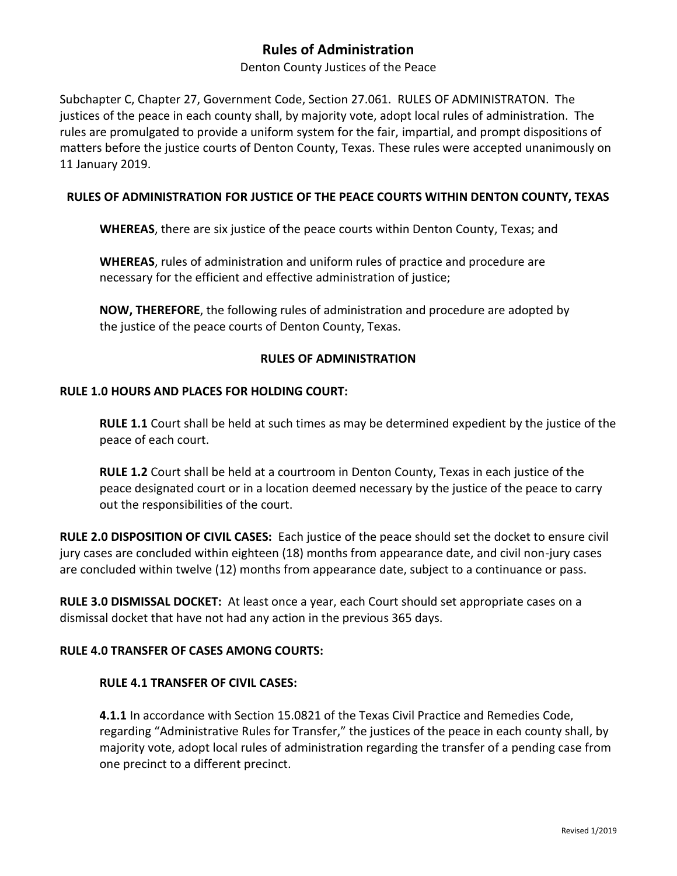# **Rules of Administration**

Denton County Justices of the Peace

Subchapter C, Chapter 27, Government Code, Section 27.061. RULES OF ADMINISTRATON. The justices of the peace in each county shall, by majority vote, adopt local rules of administration. The rules are promulgated to provide a uniform system for the fair, impartial, and prompt dispositions of matters before the justice courts of Denton County, Texas. These rules were accepted unanimously on 11 January 2019.

# **RULES OF ADMINISTRATION FOR JUSTICE OF THE PEACE COURTS WITHIN DENTON COUNTY, TEXAS**

**WHEREAS**, there are six justice of the peace courts within Denton County, Texas; and

**WHEREAS**, rules of administration and uniform rules of practice and procedure are necessary for the efficient and effective administration of justice;

**NOW, THEREFORE**, the following rules of administration and procedure are adopted by the justice of the peace courts of Denton County, Texas.

# **RULES OF ADMINISTRATION**

### **RULE 1.0 HOURS AND PLACES FOR HOLDING COURT:**

**RULE 1.1** Court shall be held at such times as may be determined expedient by the justice of the peace of each court.

**RULE 1.2** Court shall be held at a courtroom in Denton County, Texas in each justice of the peace designated court or in a location deemed necessary by the justice of the peace to carry out the responsibilities of the court.

**RULE 2.0 DISPOSITION OF CIVIL CASES:** Each justice of the peace should set the docket to ensure civil jury cases are concluded within eighteen (18) months from appearance date, and civil non-jury cases are concluded within twelve (12) months from appearance date, subject to a continuance or pass.

**RULE 3.0 DISMISSAL DOCKET:** At least once a year, each Court should set appropriate cases on a dismissal docket that have not had any action in the previous 365 days.

# **RULE 4.0 TRANSFER OF CASES AMONG COURTS:**

### **RULE 4.1 TRANSFER OF CIVIL CASES:**

**4.1.1** In accordance with Section 15.0821 of the Texas Civil Practice and Remedies Code, regarding "Administrative Rules for Transfer," the justices of the peace in each county shall, by majority vote, adopt local rules of administration regarding the transfer of a pending case from one precinct to a different precinct.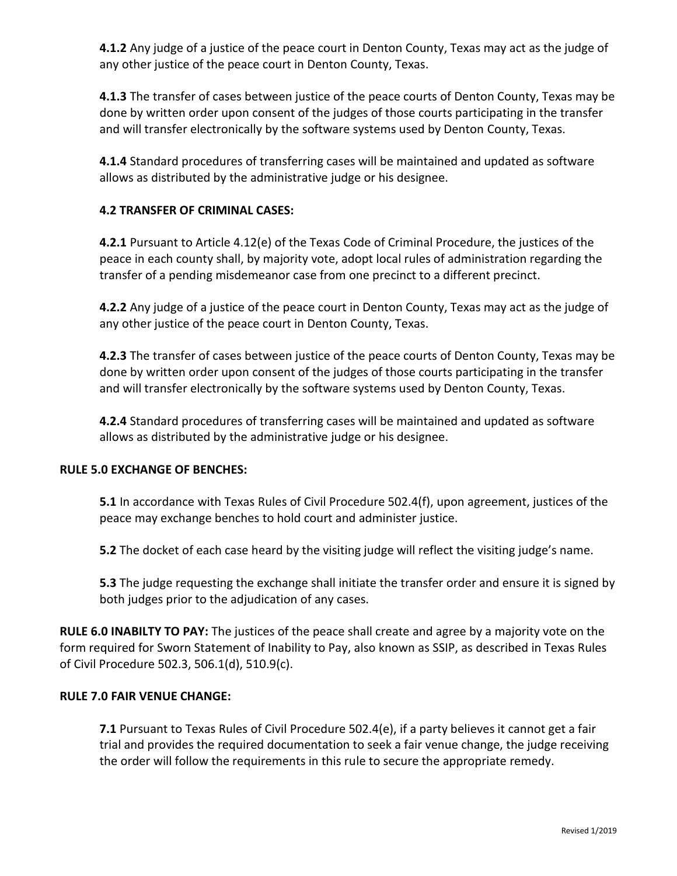**4.1.2** Any judge of a justice of the peace court in Denton County, Texas may act as the judge of any other justice of the peace court in Denton County, Texas.

**4.1.3** The transfer of cases between justice of the peace courts of Denton County, Texas may be done by written order upon consent of the judges of those courts participating in the transfer and will transfer electronically by the software systems used by Denton County, Texas.

**4.1.4** Standard procedures of transferring cases will be maintained and updated as software allows as distributed by the administrative judge or his designee.

# **4.2 TRANSFER OF CRIMINAL CASES:**

**4.2.1** Pursuant to Article 4.12(e) of the Texas Code of Criminal Procedure, the justices of the peace in each county shall, by majority vote, adopt local rules of administration regarding the transfer of a pending misdemeanor case from one precinct to a different precinct.

**4.2.2** Any judge of a justice of the peace court in Denton County, Texas may act as the judge of any other justice of the peace court in Denton County, Texas.

**4.2.3** The transfer of cases between justice of the peace courts of Denton County, Texas may be done by written order upon consent of the judges of those courts participating in the transfer and will transfer electronically by the software systems used by Denton County, Texas.

**4.2.4** Standard procedures of transferring cases will be maintained and updated as software allows as distributed by the administrative judge or his designee.

### **RULE 5.0 EXCHANGE OF BENCHES:**

**5.1** In accordance with Texas Rules of Civil Procedure 502.4(f), upon agreement, justices of the peace may exchange benches to hold court and administer justice.

**5.2** The docket of each case heard by the visiting judge will reflect the visiting judge's name.

**5.3** The judge requesting the exchange shall initiate the transfer order and ensure it is signed by both judges prior to the adjudication of any cases.

**RULE 6.0 INABILTY TO PAY:** The justices of the peace shall create and agree by a majority vote on the form required for Sworn Statement of Inability to Pay, also known as SSIP, as described in Texas Rules of Civil Procedure 502.3, 506.1(d), 510.9(c).

### **RULE 7.0 FAIR VENUE CHANGE:**

**7.1** Pursuant to Texas Rules of Civil Procedure 502.4(e), if a party believes it cannot get a fair trial and provides the required documentation to seek a fair venue change, the judge receiving the order will follow the requirements in this rule to secure the appropriate remedy.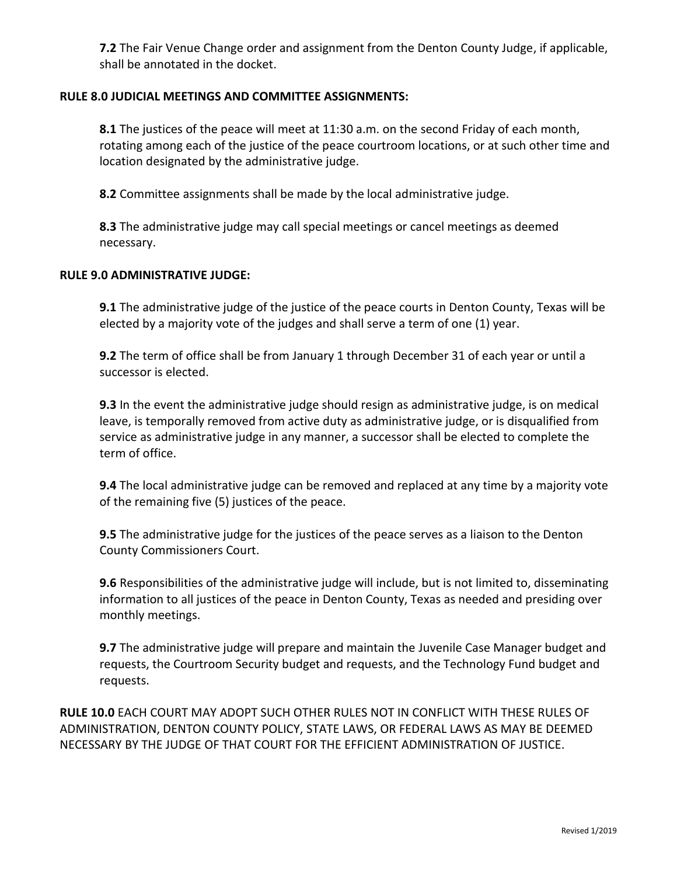**7.2** The Fair Venue Change order and assignment from the Denton County Judge, if applicable, shall be annotated in the docket.

# **RULE 8.0 JUDICIAL MEETINGS AND COMMITTEE ASSIGNMENTS:**

**8.1** The justices of the peace will meet at 11:30 a.m. on the second Friday of each month, rotating among each of the justice of the peace courtroom locations, or at such other time and location designated by the administrative judge.

**8.2** Committee assignments shall be made by the local administrative judge.

**8.3** The administrative judge may call special meetings or cancel meetings as deemed necessary.

### **RULE 9.0 ADMINISTRATIVE JUDGE:**

**9.1** The administrative judge of the justice of the peace courts in Denton County, Texas will be elected by a majority vote of the judges and shall serve a term of one (1) year.

**9.2** The term of office shall be from January 1 through December 31 of each year or until a successor is elected.

**9.3** In the event the administrative judge should resign as administrative judge, is on medical leave, is temporally removed from active duty as administrative judge, or is disqualified from service as administrative judge in any manner, a successor shall be elected to complete the term of office.

**9.4** The local administrative judge can be removed and replaced at any time by a majority vote of the remaining five (5) justices of the peace.

**9.5** The administrative judge for the justices of the peace serves as a liaison to the Denton County Commissioners Court.

**9.6** Responsibilities of the administrative judge will include, but is not limited to, disseminating information to all justices of the peace in Denton County, Texas as needed and presiding over monthly meetings.

**9.7** The administrative judge will prepare and maintain the Juvenile Case Manager budget and requests, the Courtroom Security budget and requests, and the Technology Fund budget and requests.

**RULE 10.0** EACH COURT MAY ADOPT SUCH OTHER RULES NOT IN CONFLICT WITH THESE RULES OF ADMINISTRATION, DENTON COUNTY POLICY, STATE LAWS, OR FEDERAL LAWS AS MAY BE DEEMED NECESSARY BY THE JUDGE OF THAT COURT FOR THE EFFICIENT ADMINISTRATION OF JUSTICE.